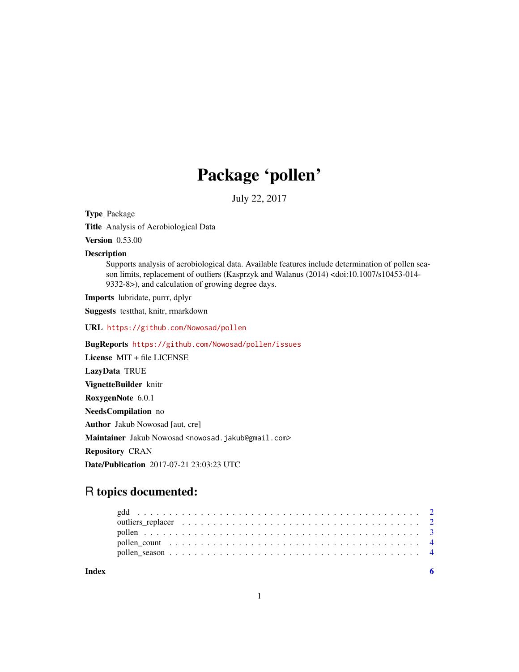## Package 'pollen'

July 22, 2017

Type Package

Title Analysis of Aerobiological Data

Version 0.53.00

Description

Supports analysis of aerobiological data. Available features include determination of pollen season limits, replacement of outliers (Kasprzyk and Walanus (2014) <doi:10.1007/s10453-014- 9332-8>), and calculation of growing degree days.

Imports lubridate, purrr, dplyr

Suggests testthat, knitr, rmarkdown

URL <https://github.com/Nowosad/pollen>

BugReports <https://github.com/Nowosad/pollen/issues>

License MIT + file LICENSE LazyData TRUE VignetteBuilder knitr RoxygenNote 6.0.1 NeedsCompilation no Author Jakub Nowosad [aut, cre] Maintainer Jakub Nowosad <nowosad.jakub@gmail.com> Repository CRAN Date/Publication 2017-07-21 23:03:23 UTC

### R topics documented:

| Index |  |  |  |  |  |  |  |  |  |  |  |  |  |  |  |  |  |  |
|-------|--|--|--|--|--|--|--|--|--|--|--|--|--|--|--|--|--|--|

1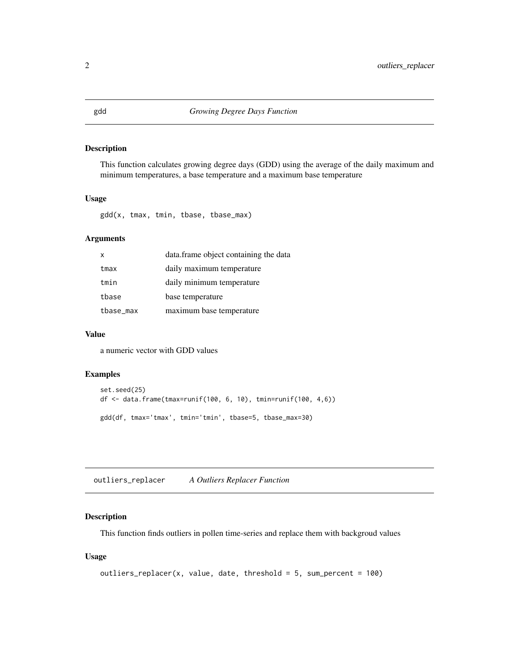#### <span id="page-1-0"></span>Description

This function calculates growing degree days (GDD) using the average of the daily maximum and minimum temperatures, a base temperature and a maximum base temperature

#### Usage

gdd(x, tmax, tmin, tbase, tbase\_max)

#### Arguments

| x         | data.frame object containing the data |
|-----------|---------------------------------------|
| tmax      | daily maximum temperature             |
| tmin      | daily minimum temperature             |
| tbase     | base temperature                      |
| tbase_max | maximum base temperature              |

#### Value

a numeric vector with GDD values

#### Examples

```
set.seed(25)
df <- data.frame(tmax=runif(100, 6, 10), tmin=runif(100, 4,6))
gdd(df, tmax='tmax', tmin='tmin', tbase=5, tbase_max=30)
```
outliers\_replacer *A Outliers Replacer Function*

#### Description

This function finds outliers in pollen time-series and replace them with backgroud values

#### Usage

```
outliers_replacer(x, value, date, threshold = 5, sum_percent = 100)
```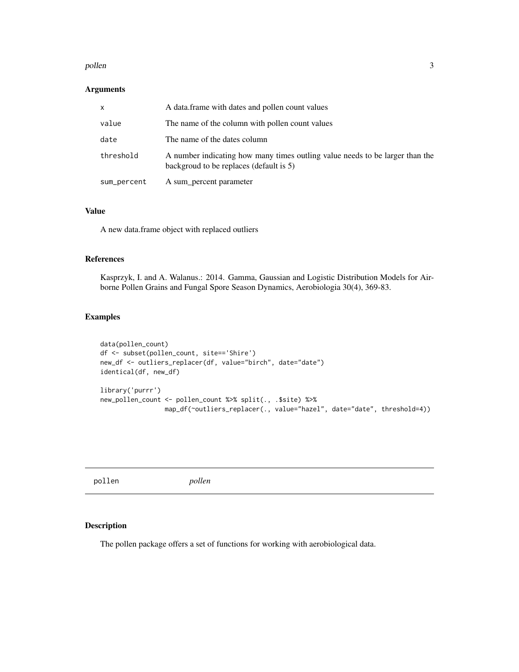#### <span id="page-2-0"></span>pollen 33 and 33 and 33 and 33 and 33 and 33 and 33 and 33 and 33 and 33 and 33 and 33 and 33 and 33 and 33 and 33 and 33 and 33 and 33 and 33 and 33 and 33 and 33 and 33 and 33 and 33 and 33 and 33 and 33 and 33 and 33 an

#### Arguments

| x           | A data frame with dates and pollen count values                                                                         |
|-------------|-------------------------------------------------------------------------------------------------------------------------|
| value       | The name of the column with pollen count values                                                                         |
| date        | The name of the dates column                                                                                            |
| threshold   | A number indicating how many times outling value needs to be larger than the<br>backgroud to be replaces (default is 5) |
| sum_percent | A sum_percent parameter                                                                                                 |

#### Value

A new data.frame object with replaced outliers

#### References

Kasprzyk, I. and A. Walanus.: 2014. Gamma, Gaussian and Logistic Distribution Models for Airborne Pollen Grains and Fungal Spore Season Dynamics, Aerobiologia 30(4), 369-83.

#### Examples

```
data(pollen_count)
df <- subset(pollen_count, site=='Shire')
new_df <- outliers_replacer(df, value="birch", date="date")
identical(df, new_df)
library('purrr')
new_pollen_count <- pollen_count %>% split(., .$site) %>%
                 map_df(~outliers_replacer(., value="hazel", date="date", threshold=4))
```

|  | pollen | pollen |  |  |
|--|--------|--------|--|--|
|--|--------|--------|--|--|

#### Description

The pollen package offers a set of functions for working with aerobiological data.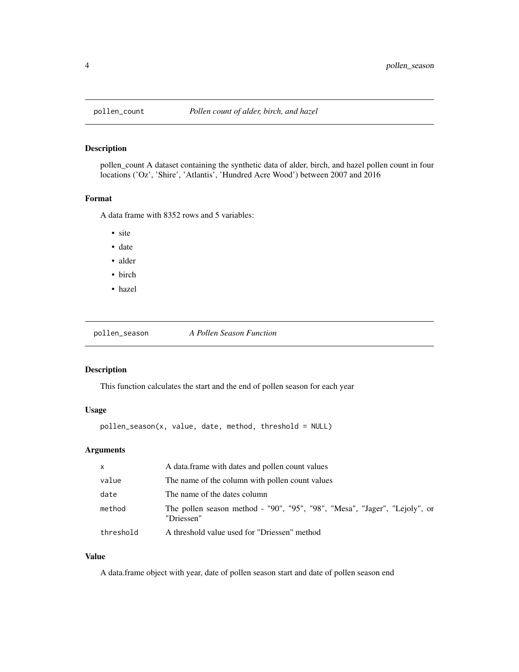<span id="page-3-0"></span>

#### Description

pollen\_count A dataset containing the synthetic data of alder, birch, and hazel pollen count in four locations ('Oz', 'Shire', 'Atlantis', 'Hundred Acre Wood') between 2007 and 2016

#### Format

A data frame with 8352 rows and 5 variables:

- site
- date
- alder
- birch
- hazel

pollen\_season *A Pollen Season Function*

#### Description

This function calculates the start and the end of pollen season for each year

#### Usage

pollen\_season(x, value, date, method, threshold = NULL)

#### Arguments

| $\mathsf{x}$ | A data frame with dates and pollen count values                                          |
|--------------|------------------------------------------------------------------------------------------|
| value        | The name of the column with pollen count values                                          |
| date         | The name of the dates column                                                             |
| method       | The pollen season method - "90", "95", "98", "Mesa", "Jager", "Lejoly", or<br>"Driessen" |
| threshold    | A threshold value used for "Driessen" method                                             |

#### Value

A data.frame object with year, date of pollen season start and date of pollen season end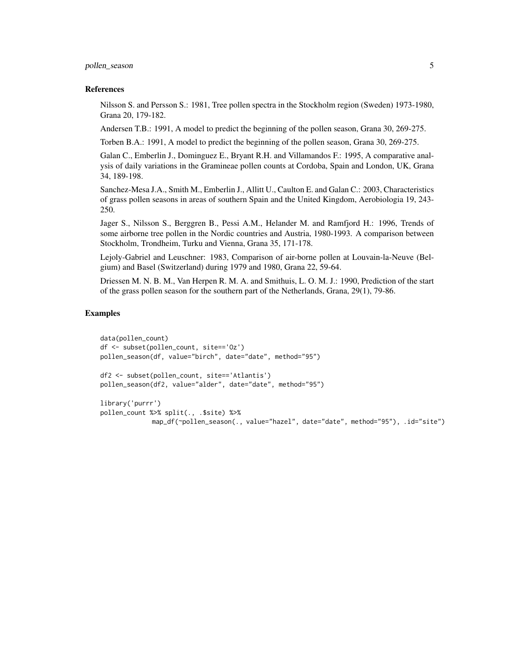pollen\_season 5

#### References

Nilsson S. and Persson S.: 1981, Tree pollen spectra in the Stockholm region (Sweden) 1973-1980, Grana 20, 179-182.

Andersen T.B.: 1991, A model to predict the beginning of the pollen season, Grana 30, 269-275.

Torben B.A.: 1991, A model to predict the beginning of the pollen season, Grana 30, 269-275.

Galan C., Emberlin J., Dominguez E., Bryant R.H. and Villamandos F.: 1995, A comparative analysis of daily variations in the Gramineae pollen counts at Cordoba, Spain and London, UK, Grana 34, 189-198.

Sanchez-Mesa J.A., Smith M., Emberlin J., Allitt U., Caulton E. and Galan C.: 2003, Characteristics of grass pollen seasons in areas of southern Spain and the United Kingdom, Aerobiologia 19, 243- 250.

Jager S., Nilsson S., Berggren B., Pessi A.M., Helander M. and Ramfjord H.: 1996, Trends of some airborne tree pollen in the Nordic countries and Austria, 1980-1993. A comparison between Stockholm, Trondheim, Turku and Vienna, Grana 35, 171-178.

Lejoly-Gabriel and Leuschner: 1983, Comparison of air-borne pollen at Louvain-la-Neuve (Belgium) and Basel (Switzerland) during 1979 and 1980, Grana 22, 59-64.

Driessen M. N. B. M., Van Herpen R. M. A. and Smithuis, L. O. M. J.: 1990, Prediction of the start of the grass pollen season for the southern part of the Netherlands, Grana, 29(1), 79-86.

#### Examples

```
data(pollen_count)
df <- subset(pollen_count, site=='Oz')
pollen_season(df, value="birch", date="date", method="95")
df2 <- subset(pollen_count, site=='Atlantis')
pollen_season(df2, value="alder", date="date", method="95")
library('purrr')
pollen_count %>% split(., .$site) %>%
             map_df(~pollen_season(., value="hazel", date="date", method="95"), .id="site")
```